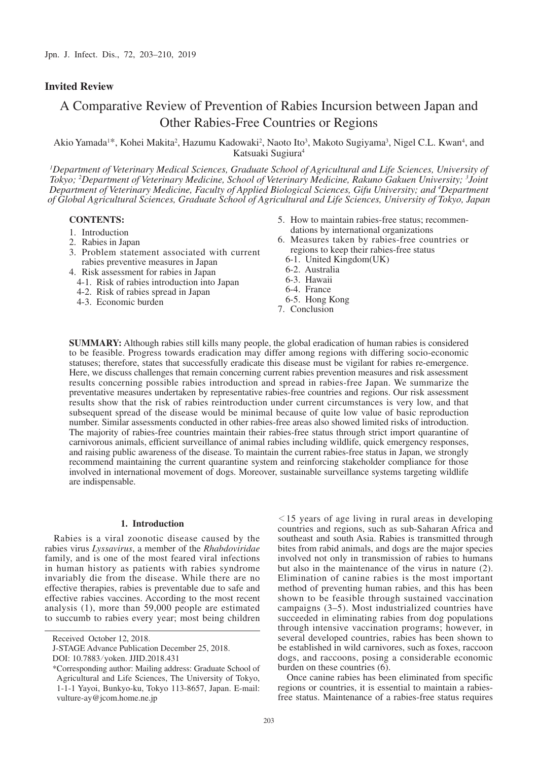# **Invited Review**

# A Comparative Review of Prevention of Rabies Incursion between Japan and Other Rabies-Free Countries or Regions

Akio Yamada<sup>1\*</sup>, Kohei Makita<sup>2</sup>, Hazumu Kadowaki<sup>2</sup>, Naoto Ito<sup>3</sup>, Makoto Sugiyama<sup>3</sup>, Nigel C.L. Kwan<sup>4</sup>, and Katsuaki Sugiura4

<sup>1</sup>Department of Veterinary Medical Sciences, Graduate School of Agricultural and Life Sciences, University of *Tokyo; 2 Department of Veterinary Medicine, School of Veterinary Medicine, Rakuno Gakuen University; 3 Joint Department of Veterinary Medicine, Faculty of Applied Biological Sciences, Gifu University; and 4 Department of Global Agricultural Sciences, Graduate School of Agricultural and Life Sciences, University of Tokyo, Japan*

## **CONTENTS:**

- 1. Introduction
- 2. Rabies in Japan
- 3. Problem statement associated with current rabies preventive measures in Japan
- 4. Risk assessment for rabies in Japan
	- 4-1. Risk of rabies introduction into Japan
	- 4-2. Risk of rabies spread in Japan
	- 4-3. Economic burden
- 5. How to maintain rabies-free status; recommendations by international organizations
- 6. Measures taken by rabies-free countries or regions to keep their rabies-free status
	- 6-1. United Kingdom(UK)
	- 6-2. Australia
	- 6-3. Hawaii
	- 6-4. France
- 6-5. Hong Kong
- 7. Conclusion

**SUMMARY:** Although rabies still kills many people, the global eradication of human rabies is considered to be feasible. Progress towards eradication may differ among regions with differing socio-economic statuses; therefore, states that successfully eradicate this disease must be vigilant for rabies re-emergence. Here, we discuss challenges that remain concerning current rabies prevention measures and risk assessment results concerning possible rabies introduction and spread in rabies-free Japan. We summarize the preventative measures undertaken by representative rabies-free countries and regions. Our risk assessment results show that the risk of rabies reintroduction under current circumstances is very low, and that subsequent spread of the disease would be minimal because of quite low value of basic reproduction number. Similar assessments conducted in other rabies-free areas also showed limited risks of introduction. The majority of rabies-free countries maintain their rabies-free status through strict import quarantine of carnivorous animals, efficient surveillance of animal rabies including wildlife, quick emergency responses, and raising public awareness of the disease. To maintain the current rabies-free status in Japan, we strongly recommend maintaining the current quarantine system and reinforcing stakeholder compliance for those involved in international movement of dogs. Moreover, sustainable surveillance systems targeting wildlife are indispensable.

#### **1. Introduction**

Rabies is a viral zoonotic disease caused by the rabies virus *Lyssavirus*, a member of the *Rhabdoviridae* family, and is one of the most feared viral infections in human history as patients with rabies syndrome invariably die from the disease. While there are no effective therapies, rabies is preventable due to safe and effective rabies vaccines. According to the most recent analysis (1), more than 59,000 people are estimated to succumb to rabies every year; most being children

 $\le$ 15 years of age living in rural areas in developing countries and regions, such as sub-Saharan Africa and southeast and south Asia. Rabies is transmitted through bites from rabid animals, and dogs are the major species involved not only in transmission of rabies to humans but also in the maintenance of the virus in nature (2). Elimination of canine rabies is the most important method of preventing human rabies, and this has been shown to be feasible through sustained vaccination campaigns (3–5). Most industrialized countries have succeeded in eliminating rabies from dog populations through intensive vaccination programs; however, in several developed countries, rabies has been shown to be established in wild carnivores, such as foxes, raccoon dogs, and raccoons, posing a considerable economic burden on these countries (6).

Once canine rabies has been eliminated from specific regions or countries, it is essential to maintain a rabiesfree status. Maintenance of a rabies-free status requires

Received October 12, 2018.

J-STAGE Advance Publication December 25, 2018.

DOI: 10.7883/yoken. JJID.2018.431

<sup>\*</sup> Corresponding author: Mailing address: Graduate School of Agricultural and Life Sciences, The University of Tokyo, 1-1-1 Yayoi, Bunkyo-ku, Tokyo 113-8657, Japan. E-mail: vulture-ay@jcom.home.ne.jp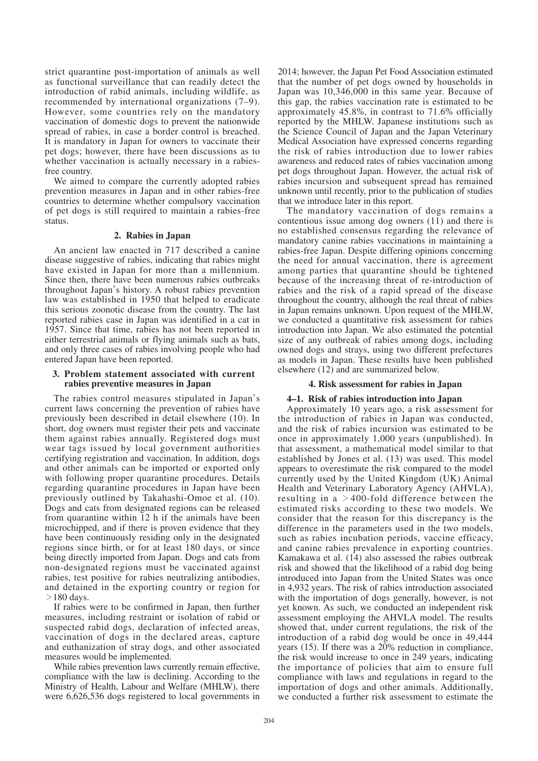strict quarantine post-importation of animals as well as functional surveillance that can readily detect the introduction of rabid animals, including wildlife, as recommended by international organizations (7–9). However, some countries rely on the mandatory vaccination of domestic dogs to prevent the nationwide spread of rabies, in case a border control is breached. It is mandatory in Japan for owners to vaccinate their pet dogs; however, there have been discussions as to whether vaccination is actually necessary in a rabiesfree country.

We aimed to compare the currently adopted rabies prevention measures in Japan and in other rabies-free countries to determine whether compulsory vaccination of pet dogs is still required to maintain a rabies-free status.

## **2. Rabies in Japan**

An ancient law enacted in 717 described a canine disease suggestive of rabies, indicating that rabies might have existed in Japan for more than a millennium. Since then, there have been numerous rabies outbreaks throughout Japan's history. A robust rabies prevention law was established in 1950 that helped to eradicate this serious zoonotic disease from the country. The last reported rabies case in Japan was identified in a cat in 1957. Since that time, rabies has not been reported in either terrestrial animals or flying animals such as bats, and only three cases of rabies involving people who had entered Japan have been reported.

## **3. Problem statement associated with current rabies preventive measures in Japan**

The rabies control measures stipulated in Japan's current laws concerning the prevention of rabies have previously been described in detail elsewhere (10). In short, dog owners must register their pets and vaccinate them against rabies annually. Registered dogs must wear tags issued by local government authorities certifying registration and vaccination. In addition, dogs and other animals can be imported or exported only with following proper quarantine procedures. Details regarding quarantine procedures in Japan have been previously outlined by Takahashi-Omoe et al. (10). Dogs and cats from designated regions can be released from quarantine within 12 h if the animals have been microchipped, and if there is proven evidence that they have been continuously residing only in the designated regions since birth, or for at least 180 days, or since being directly imported from Japan. Dogs and cats from non-designated regions must be vaccinated against rabies, test positive for rabies neutralizing antibodies, and detained in the exporting country or region for  $>180$  days.

If rabies were to be confirmed in Japan, then further measures, including restraint or isolation of rabid or suspected rabid dogs, declaration of infected areas, vaccination of dogs in the declared areas, capture and euthanization of stray dogs, and other associated measures would be implemented.

While rabies prevention laws currently remain effective, compliance with the law is declining. According to the Ministry of Health, Labour and Welfare (MHLW), there were 6,626,536 dogs registered to local governments in

2014; however, the Japan Pet Food Association estimated that the number of pet dogs owned by households in Japan was 10,346,000 in this same year. Because of this gap, the rabies vaccination rate is estimated to be approximately 45.8%, in contrast to 71.6% officially reported by the MHLW. Japanese institutions such as the Science Council of Japan and the Japan Veterinary Medical Association have expressed concerns regarding the risk of rabies introduction due to lower rabies awareness and reduced rates of rabies vaccination among pet dogs throughout Japan. However, the actual risk of rabies incursion and subsequent spread has remained unknown until recently, prior to the publication of studies that we introduce later in this report.

The mandatory vaccination of dogs remains a contentious issue among dog owners (11) and there is no established consensus regarding the relevance of mandatory canine rabies vaccinations in maintaining a rabies-free Japan. Despite differing opinions concerning the need for annual vaccination, there is agreement among parties that quarantine should be tightened because of the increasing threat of re-introduction of rabies and the risk of a rapid spread of the disease throughout the country, although the real threat of rabies in Japan remains unknown. Upon request of the MHLW, we conducted a quantitative risk assessment for rabies introduction into Japan. We also estimated the potential size of any outbreak of rabies among dogs, including owned dogs and strays, using two different prefectures as models in Japan. These results have been published elsewhere (12) and are summarized below.

# **4. Risk assessment for rabies in Japan**

# **4–1. Risk of rabies introduction into Japan**

Approximately 10 years ago, a risk assessment for the introduction of rabies in Japan was conducted, and the risk of rabies incursion was estimated to be once in approximately 1,000 years (unpublished). In that assessment, a mathematical model similar to that established by Jones et al. (13) was used. This model appears to overestimate the risk compared to the model currently used by the United Kingdom (UK) Animal Health and Veterinary Laboratory Agency (AHVLA), resulting in a  $>$ 400-fold difference between the estimated risks according to these two models. We consider that the reason for this discrepancy is the difference in the parameters used in the two models, such as rabies incubation periods, vaccine efficacy, and canine rabies prevalence in exporting countries. Kamakawa et al. (14) also assessed the rabies outbreak risk and showed that the likelihood of a rabid dog being introduced into Japan from the United States was once in 4,932 years. The risk of rabies introduction associated with the importation of dogs generally, however, is not yet known. As such, we conducted an independent risk assessment employing the AHVLA model. The results showed that, under current regulations, the risk of the introduction of a rabid dog would be once in 49,444 years (15). If there was a 20% reduction in compliance, the risk would increase to once in 249 years, indicating the importance of policies that aim to ensure full compliance with laws and regulations in regard to the importation of dogs and other animals. Additionally, we conducted a further risk assessment to estimate the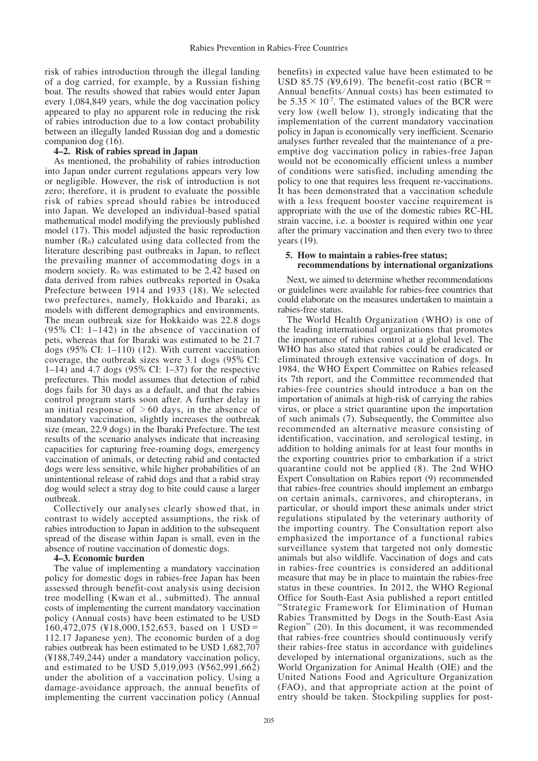risk of rabies introduction through the illegal landing of a dog carried, for example, by a Russian fishing boat. The results showed that rabies would enter Japan every 1,084,849 years, while the dog vaccination policy appeared to play no apparent role in reducing the risk of rabies introduction due to a low contact probability between an illegally landed Russian dog and a domestic companion dog (16).

# **4–2. Risk of rabies spread in Japan**

As mentioned, the probability of rabies introduction into Japan under current regulations appears very low or negligible. However, the risk of introduction is not zero; therefore, it is prudent to evaluate the possible risk of rabies spread should rabies be introduced into Japan. We developed an individual-based spatial mathematical model modifying the previously published model (17). This model adjusted the basic reproduction number  $(R_0)$  calculated using data collected from the literature describing past outbreaks in Japan, to reflect the prevailing manner of accommodating dogs in a modern society.  $R_0$  was estimated to be 2.42 based on data derived from rabies outbreaks reported in Osaka Prefecture between 1914 and 1933 (18). We selected two prefectures, namely, Hokkaido and Ibaraki, as models with different demographics and environments. The mean outbreak size for Hokkaido was 22.8 dogs (95% CI: 1–142) in the absence of vaccination of pets, whereas that for Ibaraki was estimated to be 21.7 dogs (95% CI: 1–110) (12). With current vaccination coverage, the outbreak sizes were 3.1 dogs (95% CI: 1–14) and 4.7 dogs  $(95\% \text{ CI: } 1-37)$  for the respective prefectures. This model assumes that detection of rabid dogs fails for 30 days as a default, and that the rabies control program starts soon after. A further delay in an initial response of  $>60$  days, in the absence of mandatory vaccination, slightly increases the outbreak size (mean, 22.9 dogs) in the Ibaraki Prefecture. The test results of the scenario analyses indicate that increasing capacities for capturing free-roaming dogs, emergency vaccination of animals, or detecting rabid and contacted dogs were less sensitive, while higher probabilities of an unintentional release of rabid dogs and that a rabid stray dog would select a stray dog to bite could cause a larger outbreak.

Collectively our analyses clearly showed that, in contrast to widely accepted assumptions, the risk of rabies introduction to Japan in addition to the subsequent spread of the disease within Japan is small, even in the absence of routine vaccination of domestic dogs.

# **4–3. Economic burden**

The value of implementing a mandatory vaccination policy for domestic dogs in rabies-free Japan has been assessed through benefit-cost analysis using decision tree modelling (Kwan et al., submitted). The annual costs of implementing the current mandatory vaccination policy (Annual costs) have been estimated to be USD 160,472,075 (¥18,000,152,653, based on 1 USD= 112.17 Japanese yen). The economic burden of a dog rabies outbreak has been estimated to be USD 1,682,707 (¥188,749,244) under a mandatory vaccination policy, and estimated to be USD 5,019,093 (¥562,991,662) under the abolition of a vaccination policy. Using a damage-avoidance approach, the annual benefits of implementing the current vaccination policy (Annual

benefits) in expected value have been estimated to be USD 85.75 (¥9,619). The benefit-cost ratio (BCR = Annual benefits/Annual costs) has been estimated to be  $5.35 \times 10^{-7}$ . The estimated values of the BCR were very low (well below 1), strongly indicating that the implementation of the current mandatory vaccination policy in Japan is economically very inefficient. Scenario analyses further revealed that the maintenance of a preemptive dog vaccination policy in rabies-free Japan would not be economically efficient unless a number of conditions were satisfied, including amending the policy to one that requires less frequent re-vaccinations. It has been demonstrated that a vaccination schedule with a less frequent booster vaccine requirement is appropriate with the use of the domestic rabies RC-HL strain vaccine, i.e. a booster is required within one year after the primary vaccination and then every two to three years (19).

# **5. How to maintain a rabies-free status; recommendations by international organizations**

Next, we aimed to determine whether recommendations or guidelines were available for rabies-free countries that could elaborate on the measures undertaken to maintain a rabies-free status.

The World Health Organization (WHO) is one of the leading international organizations that promotes the importance of rabies control at a global level. The WHO has also stated that rabies could be eradicated or eliminated through extensive vaccination of dogs. In 1984, the WHO Expert Committee on Rabies released its 7th report, and the Committee recommended that rabies-free countries should introduce a ban on the importation of animals at high-risk of carrying the rabies virus, or place a strict quarantine upon the importation of such animals (7). Subsequently, the Committee also recommended an alternative measure consisting of identification, vaccination, and serological testing, in addition to holding animals for at least four months in the exporting countries prior to embarkation if a strict quarantine could not be applied (8). The 2nd WHO Expert Consultation on Rabies report (9) recommended that rabies-free countries should implement an embargo on certain animals, carnivores, and chiropterans, in particular, or should import these animals under strict regulations stipulated by the veterinary authority of the importing country. The Consultation report also emphasized the importance of a functional rabies surveillance system that targeted not only domestic animals but also wildlife. Vaccination of dogs and cats in rabies-free countries is considered an additional measure that may be in place to maintain the rabies-free status in these countries. In 2012, the WHO Regional Office for South-East Asia published a report entitled "Strategic Framework for Elimination of Human Rabies Transmitted by Dogs in the South-East Asia Region" (20). In this document, it was recommended that rabies-free countries should continuously verify their rabies-free status in accordance with guidelines developed by international organizations, such as the World Organization for Animal Health (OIE) and the United Nations Food and Agriculture Organization (FAO), and that appropriate action at the point of entry should be taken. Stockpiling supplies for post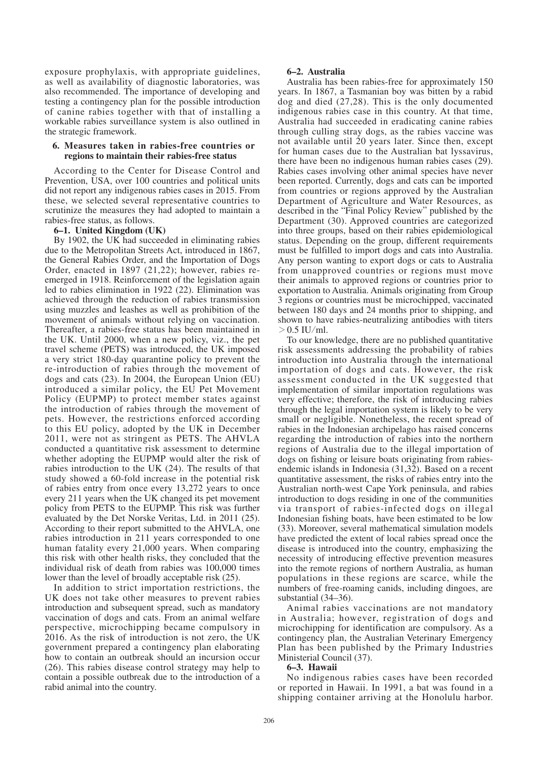exposure prophylaxis, with appropriate guidelines, as well as availability of diagnostic laboratories, was also recommended. The importance of developing and testing a contingency plan for the possible introduction of canine rabies together with that of installing a workable rabies surveillance system is also outlined in the strategic framework.

# **6. Measures taken in rabies-free countries or regions to maintain their rabies-free status**

According to the Center for Disease Control and Prevention, USA, over 100 countries and political units did not report any indigenous rabies cases in 2015. From these, we selected several representative countries to scrutinize the measures they had adopted to maintain a rabies-free status, as follows.

# **6–1. United Kingdom (UK)**

By 1902, the UK had succeeded in eliminating rabies due to the Metropolitan Streets Act, introduced in 1867, the General Rabies Order, and the Importation of Dogs Order, enacted in 1897 (21,22); however, rabies reemerged in 1918. Reinforcement of the legislation again led to rabies elimination in 1922 (22). Elimination was achieved through the reduction of rabies transmission using muzzles and leashes as well as prohibition of the movement of animals without relying on vaccination. Thereafter, a rabies-free status has been maintained in the UK. Until 2000, when a new policy, viz., the pet travel scheme (PETS) was introduced, the UK imposed a very strict 180-day quarantine policy to prevent the re-introduction of rabies through the movement of dogs and cats (23). In 2004, the European Union (EU) introduced a similar policy, the EU Pet Movement Policy (EUPMP) to protect member states against the introduction of rabies through the movement of pets. However, the restrictions enforced according to this EU policy, adopted by the UK in December 2011, were not as stringent as PETS. The AHVLA conducted a quantitative risk assessment to determine whether adopting the EUPMP would alter the risk of rabies introduction to the UK (24). The results of that study showed a 60-fold increase in the potential risk of rabies entry from once every 13,272 years to once every 211 years when the UK changed its pet movement policy from PETS to the EUPMP. This risk was further evaluated by the Det Norske Veritas, Ltd. in 2011 (25). According to their report submitted to the AHVLA, one rabies introduction in 211 years corresponded to one human fatality every 21,000 years. When comparing this risk with other health risks, they concluded that the individual risk of death from rabies was 100,000 times lower than the level of broadly acceptable risk (25).

In addition to strict importation restrictions, the UK does not take other measures to prevent rabies introduction and subsequent spread, such as mandatory vaccination of dogs and cats. From an animal welfare perspective, microchipping became compulsory in 2016. As the risk of introduction is not zero, the UK government prepared a contingency plan elaborating how to contain an outbreak should an incursion occur (26). This rabies disease control strategy may help to contain a possible outbreak due to the introduction of a rabid animal into the country.

# **6–2. Australia**

Australia has been rabies-free for approximately 150 years. In 1867, a Tasmanian boy was bitten by a rabid dog and died (27,28). This is the only documented indigenous rabies case in this country. At that time, Australia had succeeded in eradicating canine rabies through culling stray dogs, as the rabies vaccine was not available until 20 years later. Since then, except for human cases due to the Australian bat lyssavirus, there have been no indigenous human rabies cases (29). Rabies cases involving other animal species have never been reported. Currently, dogs and cats can be imported from countries or regions approved by the Australian Department of Agriculture and Water Resources, as described in the "Final Policy Review" published by the Department (30). Approved countries are categorized into three groups, based on their rabies epidemiological status. Depending on the group, different requirements must be fulfilled to import dogs and cats into Australia. Any person wanting to export dogs or cats to Australia from unapproved countries or regions must move their animals to approved regions or countries prior to exportation to Australia. Animals originating from Group 3 regions or countries must be microchipped, vaccinated between 180 days and 24 months prior to shipping, and shown to have rabies-neutralizing antibodies with titers  $> 0.5$  IU/ml.

To our knowledge, there are no published quantitative risk assessments addressing the probability of rabies introduction into Australia through the international importation of dogs and cats. However, the risk assessment conducted in the UK suggested that implementation of similar importation regulations was very effective; therefore, the risk of introducing rabies through the legal importation system is likely to be very small or negligible. Nonetheless, the recent spread of rabies in the Indonesian archipelago has raised concerns regarding the introduction of rabies into the northern regions of Australia due to the illegal importation of dogs on fishing or leisure boats originating from rabiesendemic islands in Indonesia (31,32). Based on a recent quantitative assessment, the risks of rabies entry into the Australian north-west Cape York peninsula, and rabies introduction to dogs residing in one of the communities via transport of rabies-infected dogs on illegal Indonesian fishing boats, have been estimated to be low (33). Moreover, several mathematical simulation models have predicted the extent of local rabies spread once the disease is introduced into the country, emphasizing the necessity of introducing effective prevention measures into the remote regions of northern Australia, as human populations in these regions are scarce, while the numbers of free-roaming canids, including dingoes, are substantial (34–36).

Animal rabies vaccinations are not mandatory in Australia; however, registration of dogs and microchipping for identification are compulsory. As a contingency plan, the Australian Veterinary Emergency Plan has been published by the Primary Industries Ministerial Council (37).

# **6–3. Hawaii**

No indigenous rabies cases have been recorded or reported in Hawaii. In 1991, a bat was found in a shipping container arriving at the Honolulu harbor.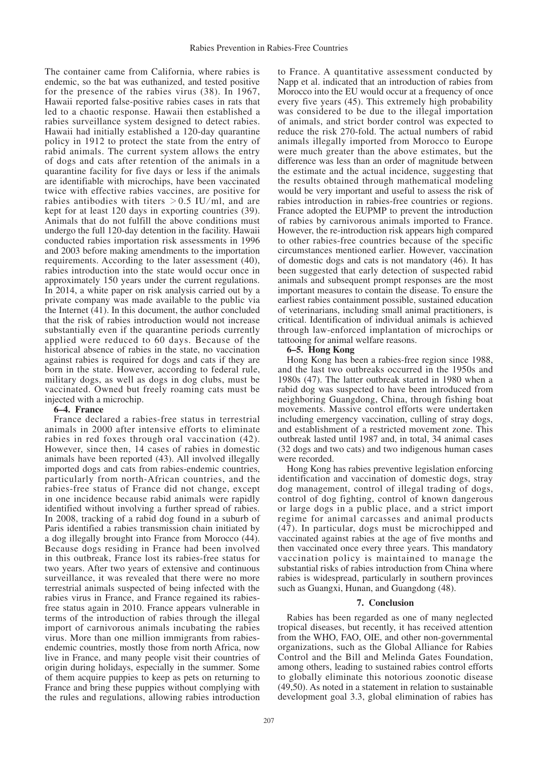The container came from California, where rabies is endemic, so the bat was euthanized, and tested positive for the presence of the rabies virus (38). In 1967, Hawaii reported false-positive rabies cases in rats that led to a chaotic response. Hawaii then established a rabies surveillance system designed to detect rabies. Hawaii had initially established a 120-day quarantine policy in 1912 to protect the state from the entry of rabid animals. The current system allows the entry of dogs and cats after retention of the animals in a quarantine facility for five days or less if the animals are identifiable with microchips, have been vaccinated twice with effective rabies vaccines, are positive for rabies antibodies with titers  $> 0.5$  IU/ml, and are kept for at least 120 days in exporting countries (39). Animals that do not fulfill the above conditions must undergo the full 120-day detention in the facility. Hawaii conducted rabies importation risk assessments in 1996 and 2003 before making amendments to the importation requirements. According to the later assessment (40), rabies introduction into the state would occur once in approximately 150 years under the current regulations. In 2014, a white paper on risk analysis carried out by a private company was made available to the public via the Internet (41). In this document, the author concluded that the risk of rabies introduction would not increase substantially even if the quarantine periods currently applied were reduced to 60 days. Because of the historical absence of rabies in the state, no vaccination against rabies is required for dogs and cats if they are born in the state. However, according to federal rule, military dogs, as well as dogs in dog clubs, must be vaccinated. Owned but freely roaming cats must be injected with a microchip.

#### **6–4. France**

France declared a rabies-free status in terrestrial animals in 2000 after intensive efforts to eliminate rabies in red foxes through oral vaccination (42). However, since then, 14 cases of rabies in domestic animals have been reported (43). All involved illegally imported dogs and cats from rabies-endemic countries, particularly from north-African countries, and the rabies-free status of France did not change, except in one incidence because rabid animals were rapidly identified without involving a further spread of rabies. In 2008, tracking of a rabid dog found in a suburb of Paris identified a rabies transmission chain initiated by a dog illegally brought into France from Morocco (44). Because dogs residing in France had been involved in this outbreak, France lost its rabies-free status for two years. After two years of extensive and continuous surveillance, it was revealed that there were no more terrestrial animals suspected of being infected with the rabies virus in France, and France regained its rabiesfree status again in 2010. France appears vulnerable in terms of the introduction of rabies through the illegal import of carnivorous animals incubating the rabies virus. More than one million immigrants from rabiesendemic countries, mostly those from north Africa, now live in France, and many people visit their countries of origin during holidays, especially in the summer. Some of them acquire puppies to keep as pets on returning to France and bring these puppies without complying with the rules and regulations, allowing rabies introduction

to France. A quantitative assessment conducted by Napp et al. indicated that an introduction of rabies from Morocco into the EU would occur at a frequency of once every five years (45). This extremely high probability was considered to be due to the illegal importation of animals, and strict border control was expected to reduce the risk 270-fold. The actual numbers of rabid animals illegally imported from Morocco to Europe were much greater than the above estimates, but the difference was less than an order of magnitude between the estimate and the actual incidence, suggesting that the results obtained through mathematical modeling would be very important and useful to assess the risk of rabies introduction in rabies-free countries or regions. France adopted the EUPMP to prevent the introduction of rabies by carnivorous animals imported to France. However, the re-introduction risk appears high compared to other rabies-free countries because of the specific circumstances mentioned earlier. However, vaccination of domestic dogs and cats is not mandatory (46). It has been suggested that early detection of suspected rabid animals and subsequent prompt responses are the most important measures to contain the disease. To ensure the earliest rabies containment possible, sustained education of veterinarians, including small animal practitioners, is critical. Identification of individual animals is achieved through law-enforced implantation of microchips or tattooing for animal welfare reasons.

#### **6–5. Hong Kong**

Hong Kong has been a rabies-free region since 1988, and the last two outbreaks occurred in the 1950s and 1980s (47). The latter outbreak started in 1980 when a rabid dog was suspected to have been introduced from neighboring Guangdong, China, through fishing boat movements. Massive control efforts were undertaken including emergency vaccination, culling of stray dogs, and establishment of a restricted movement zone. This outbreak lasted until 1987 and, in total, 34 animal cases (32 dogs and two cats) and two indigenous human cases were recorded.

Hong Kong has rabies preventive legislation enforcing identification and vaccination of domestic dogs, stray dog management, control of illegal trading of dogs, control of dog fighting, control of known dangerous or large dogs in a public place, and a strict import regime for animal carcasses and animal products (47). In particular, dogs must be microchipped and vaccinated against rabies at the age of five months and then vaccinated once every three years. This mandatory vaccination policy is maintained to manage the substantial risks of rabies introduction from China where rabies is widespread, particularly in southern provinces such as Guangxi, Hunan, and Guangdong (48).

## **7. Conclusion**

Rabies has been regarded as one of many neglected tropical diseases, but recently, it has received attention from the WHO, FAO, OIE, and other non-governmental organizations, such as the Global Alliance for Rabies Control and the Bill and Melinda Gates Foundation, among others, leading to sustained rabies control efforts to globally eliminate this notorious zoonotic disease (49,50). As noted in a statement in relation to sustainable development goal 3.3, global elimination of rabies has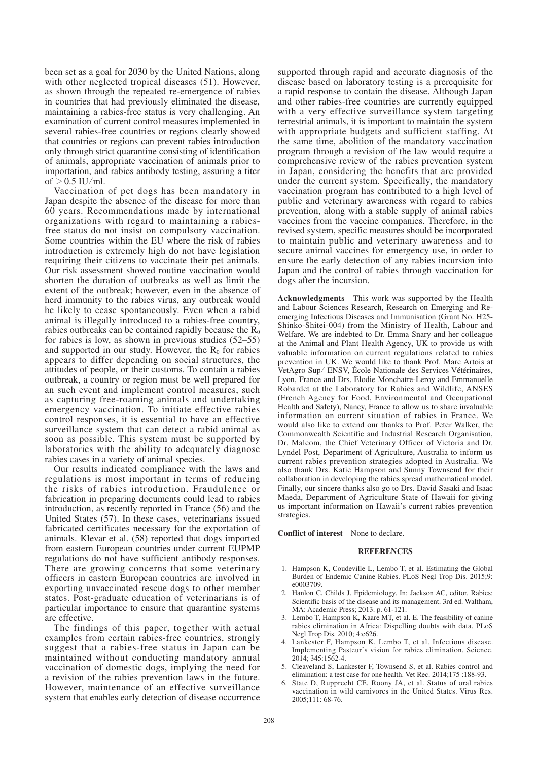been set as a goal for 2030 by the United Nations, along with other neglected tropical diseases (51). However, as shown through the repeated re-emergence of rabies in countries that had previously eliminated the disease, maintaining a rabies-free status is very challenging. An examination of current control measures implemented in several rabies-free countries or regions clearly showed that countries or regions can prevent rabies introduction only through strict quarantine consisting of identification of animals, appropriate vaccination of animals prior to importation, and rabies antibody testing, assuring a titer of  $> 0.5$  IU/ml.

Vaccination of pet dogs has been mandatory in Japan despite the absence of the disease for more than 60 years. Recommendations made by international organizations with regard to maintaining a rabiesfree status do not insist on compulsory vaccination. Some countries within the EU where the risk of rabies introduction is extremely high do not have legislation requiring their citizens to vaccinate their pet animals. Our risk assessment showed routine vaccination would shorten the duration of outbreaks as well as limit the extent of the outbreak; however, even in the absence of herd immunity to the rabies virus, any outbreak would be likely to cease spontaneously. Even when a rabid animal is illegally introduced to a rabies-free country, rabies outbreaks can be contained rapidly because the  $\dot{R}_0$ for rabies is low, as shown in previous studies (52–55) and supported in our study. However, the  $R_0$  for rabies appears to differ depending on social structures, the attitudes of people, or their customs. To contain a rabies outbreak, a country or region must be well prepared for an such event and implement control measures, such as capturing free-roaming animals and undertaking emergency vaccination. To initiate effective rabies control responses, it is essential to have an effective surveillance system that can detect a rabid animal as soon as possible. This system must be supported by laboratories with the ability to adequately diagnose rabies cases in a variety of animal species.

Our results indicated compliance with the laws and regulations is most important in terms of reducing the risks of rabies introduction. Fraudulence or fabrication in preparing documents could lead to rabies introduction, as recently reported in France (56) and the United States (57). In these cases, veterinarians issued fabricated certificates necessary for the exportation of animals. Klevar et al. (58) reported that dogs imported from eastern European countries under current EUPMP regulations do not have sufficient antibody responses. There are growing concerns that some veterinary officers in eastern European countries are involved in exporting unvaccinated rescue dogs to other member states. Post-graduate education of veterinarians is of particular importance to ensure that quarantine systems are effective.

The findings of this paper, together with actual examples from certain rabies-free countries, strongly suggest that a rabies-free status in Japan can be maintained without conducting mandatory annual vaccination of domestic dogs, implying the need for a revision of the rabies prevention laws in the future. However, maintenance of an effective surveillance system that enables early detection of disease occurrence

supported through rapid and accurate diagnosis of the disease based on laboratory testing is a prerequisite for a rapid response to contain the disease. Although Japan and other rabies-free countries are currently equipped with a very effective surveillance system targeting terrestrial animals, it is important to maintain the system with appropriate budgets and sufficient staffing. At the same time, abolition of the mandatory vaccination program through a revision of the law would require a comprehensive review of the rabies prevention system in Japan, considering the benefits that are provided under the current system. Specifically, the mandatory vaccination program has contributed to a high level of public and veterinary awareness with regard to rabies prevention, along with a stable supply of animal rabies vaccines from the vaccine companies. Therefore, in the revised system, specific measures should be incorporated to maintain public and veterinary awareness and to secure animal vaccines for emergency use, in order to ensure the early detection of any rabies incursion into Japan and the control of rabies through vaccination for dogs after the incursion.

**Acknowledgments** This work was supported by the Health and Labour Sciences Research, Research on Emerging and Reemerging Infectious Diseases and Immunisation (Grant No. H25- Shinko-Shitei-004) from the Ministry of Health, Labour and Welfare. We are indebted to Dr. Emma Snary and her colleague at the Animal and Plant Health Agency, UK to provide us with valuable information on current regulations related to rabies prevention in UK. We would like to thank Prof. Marc Artois at VetAgro Sup/ ENSV, École Nationale des Services Vétérinaires, Lyon, France and Drs. Elodie Monchatre-Leroy and Emmanuelle Robardet at the Laboratory for Rabies and Wildlife, ANSES (French Agency for Food, Environmental and Occupational Health and Safety), Nancy, France to allow us to share invaluable information on current situation of rabies in France. We would also like to extend our thanks to Prof. Peter Walker, the Commonwealth Scientific and Industrial Research Organisation, Dr. Malcom, the Chief Veterinary Officer of Victoria and Dr. Lyndel Post, Department of Agriculture, Australia to inform us current rabies prevention strategies adopted in Australia. We also thank Drs. Katie Hampson and Sunny Townsend for their collaboration in developing the rabies spread mathematical model. Finally, our sincere thanks also go to Drs. David Sasaki and Isaac Maeda, Department of Agriculture State of Hawaii for giving us important information on Hawaii's current rabies prevention strategies.

**Conflict of interest** None to declare.

#### **REFERENCES**

- 1. Hampson K, Coudeville L, Lembo T, et al. Estimating the Global Burden of Endemic Canine Rabies. PLoS Negl Trop Dis. 2015;9: e0003709.
- 2. Hanlon C, Childs J. Epidemiology. In: Jackson AC, editor. Rabies: Scientific basis of the disease and its management. 3rd ed. Waltham, MA: Academic Press; 2013. p. 61-121.
- 3. Lembo T, Hampson K, Kaare MT, et al. E. The feasibility of canine rabies elimination in Africa: Dispelling doubts with data. PLoS Negl Trop Dis. 2010; 4:e626.
- 4. Lankester F, Hampson K, Lembo T, et al. Infectious disease. Implementing Pasteur's vision for rabies elimination. Science. 2014; 345:1562-4.
- 5. Cleaveland S, Lankester F, Townsend S, et al. Rabies control and elimination: a test case for one health. Vet Rec. 2014;175 :188-93.
- 6. State D, Rupprecht CE, Roony JA, et al. Status of oral rabies vaccination in wild carnivores in the United States. Virus Res. 2005;111: 68-76.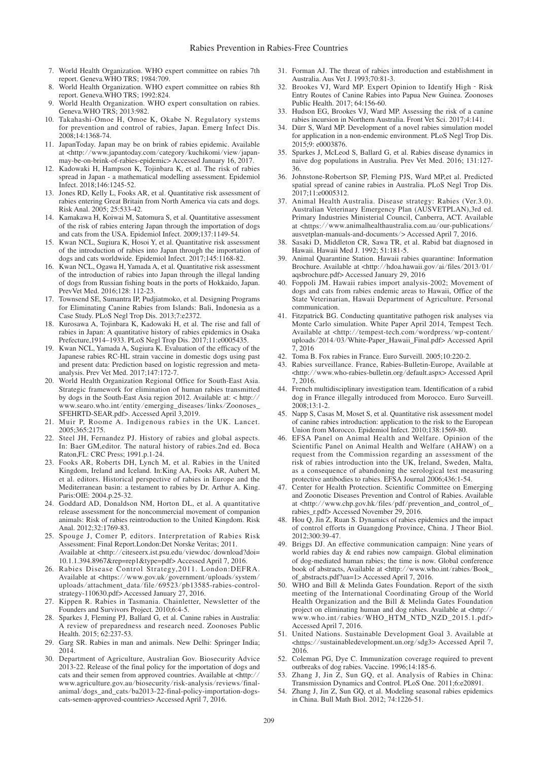- 7. World Health Organization. WHO expert committee on rabies 7th report. Geneva.WHO TRS; 1984:709.
- World Health Organization. WHO expert committee on rabies 8th report. Geneva.WHO TRS; 1992:824.
- 9. World Health Organization. WHO expert consultation on rabies. Geneva.WHO TRS; 2013:982.
- 10. Takahashi-Omoe H, Omoe K, Okabe N. Regulatory systems for prevention and control of rabies, Japan. Emerg Infect Dis. 2008;14:1368-74.
- 11. JapanToday. Japan may be on brink of rabies epidemic. Available at <http://www.japantoday.com/category/kuchikomi/view/japanmay-be-on-brink-of-rabies-epidemic> Accessed January 16, 2017.
- 12. Kadowaki H, Hampson K, Tojinbara K, et al. The risk of rabies spread in Japan - a mathematical modelling assessment. Epidemiol Infect. 2018;146:1245-52.
- 13. Jones RD, Kelly L, Fooks AR, et al. Quantitative risk assessment of rabies entering Great Britain from North America via cats and dogs. Risk Anal. 2005; 25:533-42.
- 14. Kamakawa H, Koiwai M, Satomura S, et al. Quantitative assessment of the risk of rabies entering Japan through the importation of dogs and cats from the USA. Epidemiol Infect. 2009;137:1149-54.
- 15. Kwan NCL, Sugiura K, Hosoi Y, et al. Quantitative risk assessment of the introduction of rabies into Japan through the importation of dogs and cats worldwide. Epidemiol Infect. 2017;145:1168-82.
- 16. Kwan NCL, Ogawa H, Yamada A, et al. Quantitative risk assessment of the introduction of rabies into Japan through the illegal landing of dogs from Russian fishing boats in the ports of Hokkaido, Japan. PrevVet Med. 2016;128: 112-23.
- 17. Townsend SE, Sumantra IP, Pudjiatmoko, et al. Designing Programs for Eliminating Canine Rabies from Islands: Bali, Indonesia as a Case Study. PLoS Negl Trop Dis. 2013;7:e2372.
- 18. Kurosawa A, Tojinbara K, Kadowaki H, et al. The rise and fall of rabies in Japan: A quantitative history of rabies epidemics in Osaka Prefecture,1914–1933. PLoS Negl Trop Dis. 2017;11:e0005435.
- 19. Kwan NCL, Yamada A, Sugiura K. Evaluation of the efficacy of the Japanese rabies RC-HL strain vaccine in domestic dogs using past and present data: Prediction based on logistic regression and metaanalysis. Prev Vet Med. 2017;147:172-7.
- 20. World Health Organization Regional Office for South-East Asia. Strategic framework for elimination of human rabies transmitted by dogs in the South-East Asia region 2012. Available at: < http:// www.searo.who.int/entity/emerging\_diseases/links/Zoonoses\_ SFEHRTD-SEAR.pdf>. Accessed April 3,2019.
- 21. Muir P, Roome A. Indigenous rabies in the UK. Lancet. 2005;365:2175.
- 22. Steel JH, Fernandez PJ. History of rabies and global aspects. In: Baer GM,editor. The natural history of rabies.2nd ed. Boca Raton,FL: CRC Press; 1991.p.1-24.
- 23. Fooks AR, Roberts DH, Lynch M, et al. Rabies in the United Kingdom, Ireland and Iceland. In:King AA, Fooks AR, Aubert M, et al. editors. Historical perspective of rabies in Europe and the Mediterranean basin: a testament to rabies by Dr. Arthur A. King. Paris:OIE: 2004.p.25-32.
- 24. Goddard AD, Donaldson NM, Horton DL, et al. A quantitative release assessment for the noncommercial movement of companion animals: Risk of rabies reintroduction to the United Kingdom. Risk Anal. 2012;32:1769-83.
- 25. Spouge J, Comer P, editors. Interpretation of Rabies Risk Assessment: Final Report.London:Det Norske Veritas; 2011. Available at <http://citeseerx.ist.psu.edu/viewdoc/download?doi= 10.1.1.394.8967&rep=rep1&type=pdf> Accessed April 7, 2016.
- 26. Rabies Disease Control Strategy,2011. London:DEFRA. Available at <https://www.gov.uk/government/uploads/system/ uploads/attachment\_data/file/69523/pb13585-rabies-controlstrategy-110630.pdf> Accessed January 27, 2016.
- 27. Kippen R. Rabies in Tasmania. Chainletter, Newsletter of the Founders and Survivors Project. 2010;6:4-5.
- 28. Sparkes J, Fleming PJ, Ballard G, et al. Canine rabies in Australia: A review of preparedness and research need. Zoonoses Public Health. 2015; 62:237-53.
- 29. Garg SR. Rabies in man and animals. New Delhi: Springer India; 2014.
- 30. Department of Agriculture, Australian Gov. Biosecurity Advice 2013-22. Release of the final policy for the importation of dogs and cats and their semen from approved countries. Available at <http:// www.agriculture.gov.au/biosecurity/risk-analysis/reviews/finalanimal/dogs\_and\_cats/ba2013-22-final-policy-importation-dogscats-semen-approved-countries> Accessed April 7, 2016.
- 31. Forman AJ. The threat of rabies introduction and establishment in Australia. Aus Vet J. 1993;70:81-3.
- 32. Brookes VJ, Ward MP. Expert Opinion to Identify High Risk Entry Routes of Canine Rabies into Papua New Guinea. Zoonoses Public Health. 2017; 64:156-60.
- 33. Hudson EG, Brookes VJ, Ward MP. Assessing the risk of a canine rabies incursion in Northern Australia. Front Vet Sci. 2017;4:141.
- 34. Dürr S, Ward MP. Development of a novel rabies simulation model for application in a non-endemic environment. PLoS Negl Trop Dis. 2015;9: e0003876.
- 35. Sparkes J, McLeod S, Ballard G, et al. Rabies disease dynamics in naive dog populations in Australia. Prev Vet Med. 2016; 131:127- 36.
- 36. Johnstone-Robertson SP, Fleming PJS, Ward MP,et al. Predicted spatial spread of canine rabies in Australia. PLoS Negl Trop Dis. 2017;11:e0005312.
- 37. Animal Health Australia. Disease strategy: Rabies (Ver.3.0). Australian Veterinary Emergency Plan (AUSVETPLAN),3rd ed. Primary Industries Ministerial Council, Canberra, ACT. Available at <https://www.animalhealthaustralia.com.au/our-publications/ ausvetplan-manuals-and-documents/> Accessed April 7, 2016.
- 38. Sasaki D, Middleton CR, Sawa TR, et al. Rabid bat diagnosed in Hawaii. Hawaii Med J. 1992; 51:181-5.
- 39. Animal Quarantine Station. Hawaii rabies quarantine: Information Brochure. Available at <http://hdoa.hawaii.gov/ai/files/2013/01/ aqsbrochure.pdf> Accessed January 29, 2016
- 40. Foppoli JM. Hawaii rabies import analysis-2002; Movement of dogs and cats from rabies endemic areas to Hawaii, Office of the State Veterinarian, Hawaii Department of Agriculture. Personal communication.
- 41. Fitzpatrick BG. Conducting quantitative pathogen risk analyses via Monte Carlo simulation. White Paper April 2014, Tempest Tech. Available at <http://tempest-tech.com/wordpress/wp-content/ uploads/2014/03/White-Paper\_Hawaii\_Final.pdf> Accessed April 7, 2016
- 42. Toma B. Fox rabies in France. Euro Surveill. 2005;10:220-2.
- 43. Rabies surveillance. France, Rabies-Bulletin-Europe, Available at <http://www.who-rabies-bulletin.org/default.aspx> Accessed April 7, 2016.
- 44. French multidisciplinary investigation team. Identification of a rabid dog in France illegally introduced from Morocco. Euro Surveill. 2008;13:1-2.
- 45. Napp S, Casas M, Moset S, et al. Quantitative risk assessment model of canine rabies introduction: application to the risk to the European Union from Morocco. Epidemiol Infect. 2010;138:1569-80.
- 46. EFSA Panel on Animal Health and Welfare. Opinion of the Scientific Panel on Animal Health and Welfare (AHAW) on a request from the Commission regarding an assessment of the risk of rabies introduction into the UK, Ireland, Sweden, Malta, as a consequence of abandoning the serological test measuring protective antibodies to rabies. EFSA Journal 2006;436:1-54.
- 47. Center for Health Protection. Scientific Committee on Emerging and Zoonotic Diseases Prevention and Control of Rabies. Available at <http://www.chp.gov.hk/files/pdf/prevention\_and\_control\_of\_ rabies\_r.pdf> Accessed November 29, 2016.
- 48. Hou Q, Jin Z, Ruan S. Dynamics of rabies epidemics and the impact of control efforts in Guangdong Province, China. J Theor Biol. 2012;300:39-47.
- 49. Briggs DJ. An effective communication campaign: Nine years of world rabies day & end rabies now campaign. Global elimination of dog-mediated human rabies; the time is now. Global conference book of abstracts, Available at <http://www.who.int/rabies/Book\_ of\_abstracts.pdf?ua=1> Accessed April 7, 2016.
- 50. WHO and Bill & Melinda Gates Foundation. Report of the sixth meeting of the International Coordinating Group of the World Health Organization and the Bill & Melinda Gates Foundation project on eliminating human and dog rabies. Available at <http:// www.who.int/rabies/WHO\_HTM\_NTD\_NZD\_2015.1.pdf> Accessed April 7, 2016.
- 51. United Nations. Sustainable Development Goal 3. Available at <https://sustainabledevelopment.un.org/sdg3> Accessed April 7, 2016.
- 52. Coleman PG, Dye C. Immunization coverage required to prevent outbreaks of dog rabies. Vaccine. 1996;14:185-6.
- 53. Zhang J, Jin Z, Sun GQ, et al. Analysis of Rabies in China: Transmission Dynamics and Control. PLoS One. 2011;6:e20891.
- 54. Zhang J, Jin Z, Sun GQ, et al. Modeling seasonal rabies epidemics in China. Bull Math Biol. 2012; 74:1226-51.